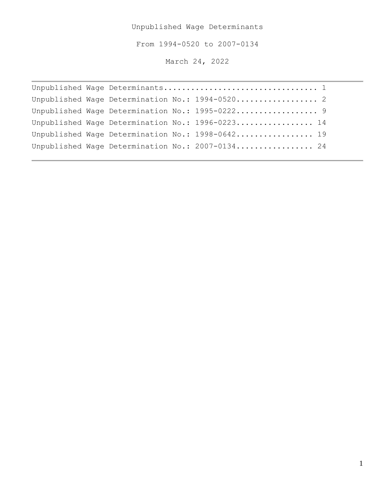Unpublished Wage Determinants

From 1994-0520 to 2007-0134

March 24, 2022

```
Unpublished Wage Determinants.................................. 1
Unpublished Wage Determination No.: 1994-0520..................... 2
Unpublished Wage Determination No.: 1995-0222......................... 9
Unpublished Wage Determination No.: 1996-0223.................. 14
Unpublished Wage Determination No.: 1998-0642.................. 19
Unpublished Wage Determination No.: 2007-0134.................. 24
```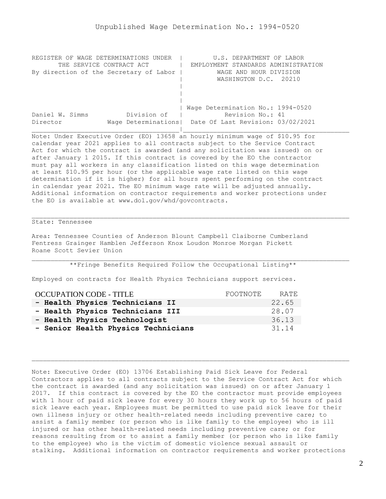<span id="page-1-0"></span>

| REGISTER OF WAGE DETERMINATIONS UNDER  | U.S. DEPARTMENT OF LABOR                                |
|----------------------------------------|---------------------------------------------------------|
| THE SERVICE CONTRACT ACT               | EMPLOYMENT STANDARDS ADMINISTRATION                     |
| By direction of the Secretary of Labor | WAGE AND HOUR DIVISION                                  |
|                                        | WASHINGTON D.C. 20210                                   |
|                                        |                                                         |
|                                        |                                                         |
|                                        |                                                         |
|                                        | Wage Determination No.: 1994-0520                       |
| Division of<br>Daniel W. Simms         | Revision No.: 41                                        |
| Director                               | Wage Determinations   Date Of Last Revision: 03/02/2021 |
|                                        |                                                         |

Note: Under Executive Order (EO) 13658 an hourly minimum wage of \$10.95 for calendar year 2021 applies to all contracts subject to the Service Contract Act for which the contract is awarded (and any solicitation was issued) on or after January 1 2015. If this contract is covered by the EO the contractor must pay all workers in any classification listed on this wage determination at least \$10.95 per hour (or the applicable wage rate listed on this wage determination if it is higher) for all hours spent performing on the contract in calendar year 2021. The EO minimum wage rate will be adjusted annually. Additional information on contractor requirements and worker protections under the EO is available at www.dol.gov/whd/govcontracts.

# State: Tennessee

Area: Tennessee Counties of Anderson Blount Campbell Claiborne Cumberland Fentress Grainger Hamblen Jefferson Knox Loudon Monroe Morgan Pickett Roane Scott Sevier Union

\*\*Fringe Benefits Required Follow the Occupational Listing\*\*

Employed on contracts for Health Physics Technicians support services.

| <b>OCCUPATION CODE - TITLE</b>      | FOOTNOTE | RATE. |
|-------------------------------------|----------|-------|
| - Health Physics Technicians II     |          | 22.65 |
| - Health Physics Technicians III    |          | 28.07 |
| - Health Physics Technologist       |          | 36.13 |
| - Senior Health Physics Technicians |          | 31.14 |

Note: Executive Order (EO) 13706 Establishing Paid Sick Leave for Federal Contractors applies to all contracts subject to the Service Contract Act for which the contract is awarded (and any solicitation was issued) on or after January 1 2017. If this contract is covered by the EO the contractor must provide employees with 1 hour of paid sick leave for every 30 hours they work up to 56 hours of paid sick leave each year. Employees must be permitted to use paid sick leave for their own illness injury or other health-related needs including preventive care; to assist a family member (or person who is like family to the employee) who is ill injured or has other health-related needs including preventive care; or for reasons resulting from or to assist a family member (or person who is like family to the employee) who is the victim of domestic violence sexual assault or stalking. Additional information on contractor requirements and worker protections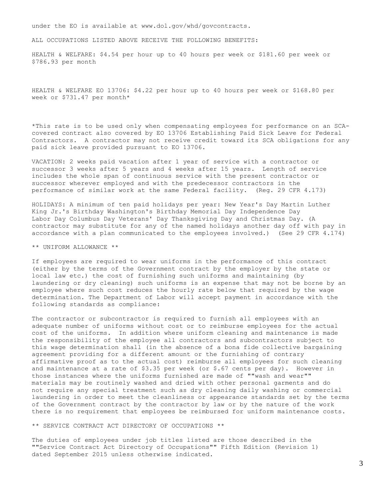under the EO is available at www.dol.gov/whd/govcontracts.

ALL OCCUPATIONS LISTED ABOVE RECEIVE THE FOLLOWING BENEFITS:

HEALTH & WELFARE: \$4.54 per hour up to 40 hours per week or \$181.60 per week or \$786.93 per month

HEALTH & WELFARE EO 13706: \$4.22 per hour up to 40 hours per week or \$168.80 per week or \$731.47 per month\*

\*This rate is to be used only when compensating employees for performance on an SCAcovered contract also covered by EO 13706 Establishing Paid Sick Leave for Federal Contractors. A contractor may not receive credit toward its SCA obligations for any paid sick leave provided pursuant to EO 13706.

VACATION: 2 weeks paid vacation after 1 year of service with a contractor or successor 3 weeks after 5 years and 4 weeks after 15 years. Length of service includes the whole span of continuous service with the present contractor or successor wherever employed and with the predecessor contractors in the performance of similar work at the same Federal facility. (Reg. 29 CFR 4.173)

HOLIDAYS: A minimum of ten paid holidays per year: New Year's Day Martin Luther King Jr.'s Birthday Washington's Birthday Memorial Day Independence Day Labor Day Columbus Day Veterans' Day Thanksgiving Day and Christmas Day. (A contractor may substitute for any of the named holidays another day off with pay in accordance with a plan communicated to the employees involved.) (See 29 CFR 4.174)

\*\* UNIFORM ALLOWANCE \*\*

If employees are required to wear uniforms in the performance of this contract (either by the terms of the Government contract by the employer by the state or local law etc.) the cost of furnishing such uniforms and maintaining (by laundering or dry cleaning) such uniforms is an expense that may not be borne by an employee where such cost reduces the hourly rate below that required by the wage determination. The Department of Labor will accept payment in accordance with the following standards as compliance:

The contractor or subcontractor is required to furnish all employees with an adequate number of uniforms without cost or to reimburse employees for the actual cost of the uniforms. In addition where uniform cleaning and maintenance is made the responsibility of the employee all contractors and subcontractors subject to this wage determination shall (in the absence of a bona fide collective bargaining agreement providing for a different amount or the furnishing of contrary affirmative proof as to the actual cost) reimburse all employees for such cleaning and maintenance at a rate of \$3.35 per week (or \$.67 cents per day). However in those instances where the uniforms furnished are made of ""wash and wear"" materials may be routinely washed and dried with other personal garments and do not require any special treatment such as dry cleaning daily washing or commercial laundering in order to meet the cleanliness or appearance standards set by the terms of the Government contract by the contractor by law or by the nature of the work there is no requirement that employees be reimbursed for uniform maintenance costs.

\*\* SERVICE CONTRACT ACT DIRECTORY OF OCCUPATIONS \*\*

The duties of employees under job titles listed are those described in the ""Service Contract Act Directory of Occupations"" Fifth Edition (Revision 1) dated September 2015 unless otherwise indicated.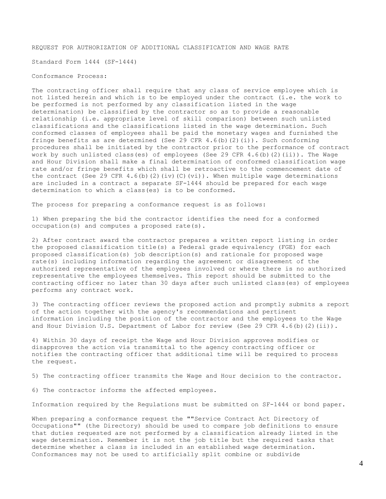REQUEST FOR AUTHORIZATION OF ADDITIONAL CLASSIFICATION AND WAGE RATE

Standard Form 1444 (SF-1444)

#### Conformance Process:

The contracting officer shall require that any class of service employee which is not listed herein and which is to be employed under the contract (i.e. the work to be performed is not performed by any classification listed in the wage determination) be classified by the contractor so as to provide a reasonable relationship (i.e. appropriate level of skill comparison) between such unlisted classifications and the classifications listed in the wage determination. Such conformed classes of employees shall be paid the monetary wages and furnished the fringe benefits as are determined (See 29 CFR  $4.6$  (b)(2)(i)). Such conforming procedures shall be initiated by the contractor prior to the performance of contract work by such unlisted class(es) of employees (See 29 CFR  $4.6(b)$  (2)(ii)). The Wage and Hour Division shall make a final determination of conformed classification wage rate and/or fringe benefits which shall be retroactive to the commencement date of the contract (See 29 CFR 4.6(b)(2)(iv)(C)(vi)). When multiple wage determinations are included in a contract a separate SF-1444 should be prepared for each wage determination to which a class(es) is to be conformed.

The process for preparing a conformance request is as follows:

1) When preparing the bid the contractor identifies the need for a conformed occupation(s) and computes a proposed rate(s).

2) After contract award the contractor prepares a written report listing in order the proposed classification title(s) a Federal grade equivalency (FGE) for each proposed classification(s) job description(s) and rationale for proposed wage rate(s) including information regarding the agreement or disagreement of the authorized representative of the employees involved or where there is no authorized representative the employees themselves. This report should be submitted to the contracting officer no later than 30 days after such unlisted class(es) of employees performs any contract work.

3) The contracting officer reviews the proposed action and promptly submits a report of the action together with the agency's recommendations and pertinent information including the position of the contractor and the employees to the Wage and Hour Division U.S. Department of Labor for review (See 29 CFR 4.6(b)(2)(ii)).

4) Within 30 days of receipt the Wage and Hour Division approves modifies or disapproves the action via transmittal to the agency contracting officer or notifies the contracting officer that additional time will be required to process the request.

5) The contracting officer transmits the Wage and Hour decision to the contractor.

6) The contractor informs the affected employees.

Information required by the Regulations must be submitted on SF-1444 or bond paper.

When preparing a conformance request the ""Service Contract Act Directory of Occupations"" (the Directory) should be used to compare job definitions to ensure that duties requested are not performed by a classification already listed in the wage determination. Remember it is not the job title but the required tasks that determine whether a class is included in an established wage determination. Conformances may not be used to artificially split combine or subdivide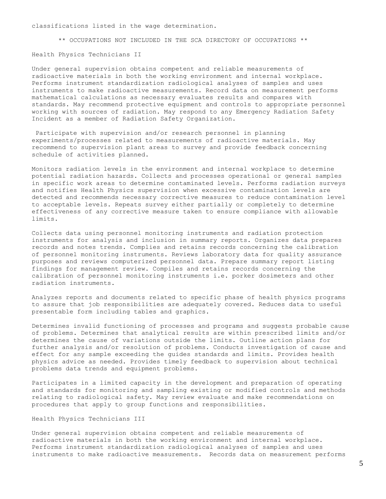classifications listed in the wage determination.

\*\* OCCUPATIONS NOT INCLUDED IN THE SCA DIRECTORY OF OCCUPATIONS \*\*

Health Physics Technicians II

Under general supervision obtains competent and reliable measurements of radioactive materials in both the working environment and internal workplace. Performs instrument standardization radiological analyses of samples and uses instruments to make radioactive measurements. Record data on measurement performs mathematical calculations as necessary evaluates results and compares with standards. May recommend protective equipment and controls to appropriate personnel working with sources of radiation. May respond to any Emergency Radiation Safety Incident as a member of Radiation Safety Organization.

Participate with supervision and/or research personnel in planning experiments/processes related to measurements of radioactive materials. May recommend to supervision plant areas to survey and provide feedback concerning schedule of activities planned.

Monitors radiation levels in the environment and internal workplace to determine potential radiation hazards. Collects and processes operational or general samples in specific work areas to determine contaminated levels. Performs radiation surveys and notifies Health Physics supervision when excessive contamination levels are detected and recommends necessary corrective measures to reduce contamination level to acceptable levels. Repeats survey either partially or completely to determine effectiveness of any corrective measure taken to ensure compliance with allowable limits.

Collects data using personnel monitoring instruments and radiation protection instruments for analysis and inclusion in summary reports. Organizes data prepares records and notes trends. Complies and retains records concerning the calibration of personnel monitoring instruments. Reviews laboratory data for quality assurance purposes and reviews computerized personnel data. Prepare summary report listing findings for management review. Compiles and retains records concerning the calibration of personnel monitoring instruments i.e. porker dosimeters and other radiation instruments.

Analyzes reports and documents related to specific phase of health physics programs to assure that job responsibilities are adequately covered. Reduces data to useful presentable form including tables and graphics.

Determines invalid functioning of processes and programs and suggests probable cause of problems. Determines that analytical results are within prescribed limits and/or determines the cause of variations outside the limits. Outline action plans for further analysis and/or resolution of problems. Conducts investigation of cause and effect for any sample exceeding the guides standards and limits. Provides health physics advice as needed. Provides timely feedback to supervision about technical problems data trends and equipment problems.

Participates in a limited capacity in the development and preparation of operating and standards for monitoring and sampling existing or modified controls and methods relating to radiological safety. May review evaluate and make recommendations on procedures that apply to group functions and responsibilities.

#### Health Physics Technicians III

Under general supervision obtains competent and reliable measurements of radioactive materials in both the working environment and internal workplace. Performs instrument standardization radiological analyses of samples and uses instruments to make radioactive measurements. Records data on measurement performs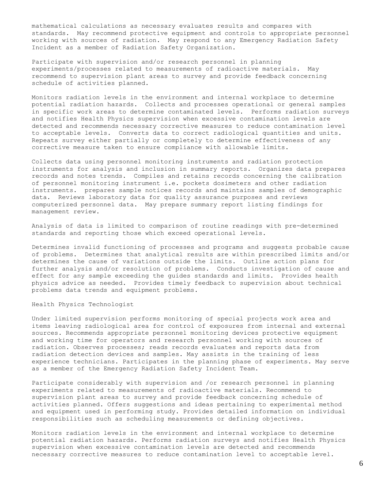mathematical calculations as necessary evaluates results and compares with standards. May recommend protective equipment and controls to appropriate personnel working with sources of radiation. May respond to any Emergency Radiation Safety Incident as a member of Radiation Safety Organization.

Participate with supervision and/or research personnel in planning experiments/processes related to measurements of radioactive materials. May recommend to supervision plant areas to survey and provide feedback concerning schedule of activities planned.

Monitors radiation levels in the environment and internal workplace to determine potential radiation hazards. Collects and processes operational or general samples in specific work areas to determine contaminated levels. Performs radiation surveys and notifies Health Physics supervision when excessive contamination levels are detected and recommends necessary corrective measures to reduce contamination level to acceptable levels. Converts data to correct radiological quantities and units. Repeats survey either partially or completely to determine effectiveness of any corrective measure taken to ensure compliance with allowable limits.

Collects data using personnel monitoring instruments and radiation protection instruments for analysis and inclusion in summary reports. Organizes data prepares records and notes trends. Compiles and retains records concerning the calibration of personnel monitoring instrument i.e. pockets dosimeters and other radiation instruments. prepares sample notices records and maintains samples of demographic data. Reviews laboratory data for quality assurance purposes and reviews computerized personnel data. May prepare summary report listing findings for management review.

Analysis of data is limited to comparison of routine readings with pre-determined standards and reporting those which exceed operational levels.

Determines invalid functioning of processes and programs and suggests probable cause of problems. Determines that analytical results are within prescribed limits and/or determines the cause of variations outside the limits. Outline action plans for further analysis and/or resolution of problems. Conducts investigation of cause and effect for any sample exceeding the guides standards and limits. Provides health physics advice as needed. Provides timely feedback to supervision about technical problems data trends and equipment problems.

#### Health Physics Technologist

Under limited supervision performs monitoring of special projects work area and items leaving radiological area for control of exposures from internal and external sources. Recommends appropriate personnel monitoring devices protective equipment and working time for operators and research personnel working with sources of radiation. Observes processes; reads records evaluates and reports data from radiation detection devices and samples. May assists in the training of less experience technicians. Participates in the planning phase of experiments. May serve as a member of the Emergency Radiation Safety Incident Team.

Participate considerably with supervision and /or research personnel in planning experiments related to measurements of radioactive materials. Recommend to supervision plant areas to survey and provide feedback concerning schedule of activities planned. Offers suggestions and ideas pertaining to experimental method and equipment used in performing study. Provides detailed information on individual responsibilities such as scheduling measurements or defining objectives.

Monitors radiation levels in the environment and internal workplace to determine potential radiation hazards. Performs radiation surveys and notifies Health Physics supervision when excessive contamination levels are detected and recommends necessary corrective measures to reduce contamination level to acceptable level.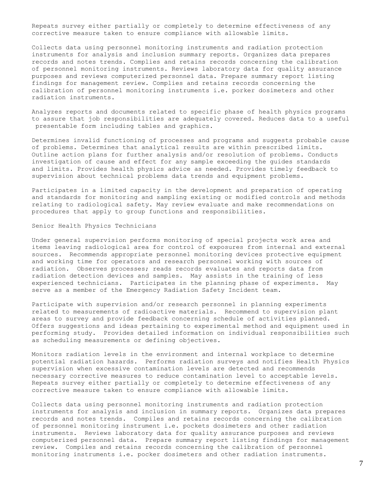Repeats survey either partially or completely to determine effectiveness of any corrective measure taken to ensure compliance with allowable limits.

Collects data using personnel monitoring instruments and radiation protection instruments for analysis and inclusion summary reports. Organizes data prepares records and notes trends. Complies and retains records concerning the calibration of personnel monitoring instruments. Reviews laboratory data for quality assurance purposes and reviews computerized personnel data. Prepare summary report listing findings for management review. Complies and retains records concerning the calibration of personnel monitoring instruments i.e. porker dosimeters and other radiation instruments.

Analyzes reports and documents related to specific phase of health physics programs to assure that job responsibilities are adequately covered. Reduces data to a useful presentable form including tables and graphics.

Determines invalid functioning of processes and programs and suggests probable cause of problems. Determines that analytical results are within prescribed limits. Outline action plans for further analysis and/or resolution of problems. Conducts investigation of cause and effect for any sample exceeding the guides standards and limits. Provides health physics advice as needed. Provides timely feedback to supervision about technical problems data trends and equipment problems.

Participates in a limited capacity in the development and preparation of operating and standards for monitoring and sampling existing or modified controls and methods relating to radiological safety. May review evaluate and make recommendations on procedures that apply to group functions and responsibilities.

# Senior Health Physics Technicians

Under general supervision performs monitoring of special projects work area and items leaving radiological area for control of exposures from internal and external sources. Recommends appropriate personnel monitoring devices protective equipment and working time for operators and research personnel working with sources of radiation. Observes processes; reads records evaluates and reports data from radiation detection devices and samples. May assists in the training of less experienced technicians. Participates in the planning phase of experiments. May serve as a member of the Emergency Radiation Safety Incident team.

Participate with supervision and/or research personnel in planning experiments related to measurements of radioactive materials. Recommend to supervision plant areas to survey and provide feedback concerning schedule of activities planned. Offers suggestions and ideas pertaining to experimental method and equipment used in performing study. Provides detailed information on individual responsibilities such as scheduling measurements or defining objectives.

Monitors radiation levels in the environment and internal workplace to determine potential radiation hazards. Performs radiation surveys and notifies Health Physics supervision when excessive contamination levels are detected and recommends necessary corrective measures to reduce contamination level to acceptable levels. Repeats survey either partially or completely to determine effectiveness of any corrective measure taken to ensure compliance with allowable limits.

Collects data using personnel monitoring instruments and radiation protection instruments for analysis and inclusion in summary reports. Organizes data prepares records and notes trends. Compiles and retains records concerning the calibration of personnel monitoring instrument i.e. pockets dosimeters and other radiation instruments. Reviews laboratory data for quality assurance purposes and reviews computerized personnel data. Prepare summary report listing findings for management review. Compiles and retains records concerning the calibration of personnel monitoring instruments i.e. pocker dosimeters and other radiation instruments.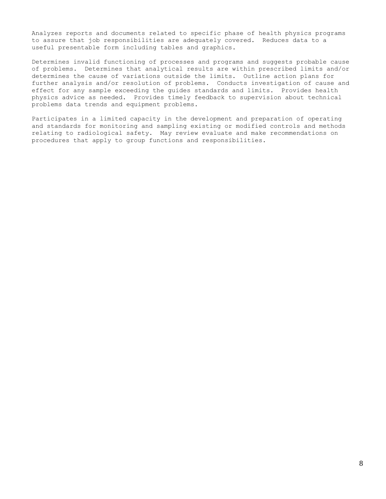Analyzes reports and documents related to specific phase of health physics programs to assure that job responsibilities are adequately covered. Reduces data to a useful presentable form including tables and graphics.

Determines invalid functioning of processes and programs and suggests probable cause of problems. Determines that analytical results are within prescribed limits and/or determines the cause of variations outside the limits. Outline action plans for further analysis and/or resolution of problems. Conducts investigation of cause and effect for any sample exceeding the guides standards and limits. Provides health physics advice as needed. Provides timely feedback to supervision about technical problems data trends and equipment problems.

Participates in a limited capacity in the development and preparation of operating and standards for monitoring and sampling existing or modified controls and methods relating to radiological safety. May review evaluate and make recommendations on procedures that apply to group functions and responsibilities.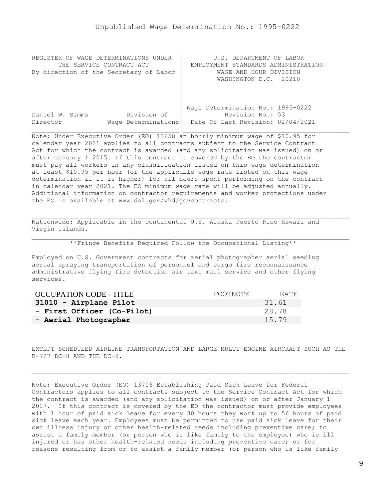<span id="page-8-0"></span>

| REGISTER OF WAGE DETERMINATIONS UNDER  | U.S. DEPARTMENT OF LABOR                                |
|----------------------------------------|---------------------------------------------------------|
| THE SERVICE CONTRACT ACT               | EMPLOYMENT STANDARDS ADMINISTRATION                     |
| By direction of the Secretary of Labor | WAGE AND HOUR DIVISION                                  |
|                                        | WASHINGTON D.C. 20210                                   |
|                                        |                                                         |
|                                        |                                                         |
|                                        |                                                         |
|                                        | Wage Determination No.: 1995-0222                       |
| Division of<br>Daniel W. Simms         | Revision No.: 53                                        |
| Director                               | Wage Determinations   Date Of Last Revision: 02/04/2021 |
|                                        |                                                         |

Note: Under Executive Order (EO) 13658 an hourly minimum wage of \$10.95 for calendar year 2021 applies to all contracts subject to the Service Contract Act for which the contract is awarded (and any solicitation was issued) on or after January 1 2015. If this contract is covered by the EO the contractor must pay all workers in any classification listed on this wage determination at least \$10.95 per hour (or the applicable wage rate listed on this wage determination if it is higher) for all hours spent performing on the contract in calendar year 2021. The EO minimum wage rate will be adjusted annually. Additional information on contractor requirements and worker protections under the EO is available at www.dol.gov/whd/govcontracts.

Nationwide: Applicable in the continental U.S. Alaska Puerto Rico Hawaii and Virgin Islands.

\*\*Fringe Benefits Required Follow the Occupational Listing\*\*

Employed on U.S. Government contracts for aerial photographer aerial seeding aerial spraying transportation of personnel and cargo fire reconnaissance administrative flying fire detection air taxi mail service and other flying services.

| OCCUPATION CODE - TITLE    | FOOTNOTE | RATE. |
|----------------------------|----------|-------|
| 31010 - Airplane Pilot     |          | 31.61 |
| - First Officer (Co-Pilot) |          | 28.78 |
| - Aerial Photographer      |          | 15.79 |

EXCEPT SCHEDULED AIRLINE TRANSPORTATION AND LARGE MULTI-ENGINE AIRCRAFT SUCH AS THE B-727 DC-8 AND THE DC-9.

Note: Executive Order (EO) 13706 Establishing Paid Sick Leave for Federal Contractors applies to all contracts subject to the Service Contract Act for which the contract is awarded (and any solicitation was issued) on or after January 1 2017. If this contract is covered by the EO the contractor must provide employees with 1 hour of paid sick leave for every 30 hours they work up to 56 hours of paid sick leave each year. Employees must be permitted to use paid sick leave for their own illness injury or other health-related needs including preventive care; to assist a family member (or person who is like family to the employee) who is ill injured or has other health-related needs including preventive care; or for reasons resulting from or to assist a family member (or person who is like family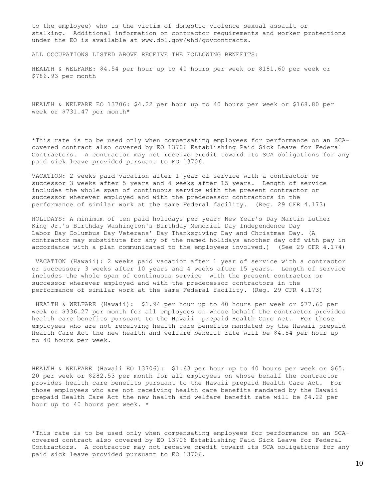to the employee) who is the victim of domestic violence sexual assault or stalking. Additional information on contractor requirements and worker protections under the EO is available at www.dol.gov/whd/govcontracts.

ALL OCCUPATIONS LISTED ABOVE RECEIVE THE FOLLOWING BENEFITS:

HEALTH & WELFARE: \$4.54 per hour up to 40 hours per week or \$181.60 per week or \$786.93 per month

HEALTH & WELFARE EO 13706: \$4.22 per hour up to 40 hours per week or \$168.80 per week or \$731.47 per month\*

\*This rate is to be used only when compensating employees for performance on an SCAcovered contract also covered by EO 13706 Establishing Paid Sick Leave for Federal Contractors. A contractor may not receive credit toward its SCA obligations for any paid sick leave provided pursuant to EO 13706.

VACATION: 2 weeks paid vacation after 1 year of service with a contractor or successor 3 weeks after 5 years and 4 weeks after 15 years. Length of service includes the whole span of continuous service with the present contractor or successor wherever employed and with the predecessor contractors in the performance of similar work at the same Federal facility. (Reg. 29 CFR 4.173)

HOLIDAYS: A minimum of ten paid holidays per year: New Year's Day Martin Luther King Jr.'s Birthday Washington's Birthday Memorial Day Independence Day Labor Day Columbus Day Veterans' Day Thanksgiving Day and Christmas Day. (A contractor may substitute for any of the named holidays another day off with pay in accordance with a plan communicated to the employees involved.) (See 29 CFR 4.174)

VACATION (Hawaii): 2 weeks paid vacation after 1 year of service with a contractor or successor; 3 weeks after 10 years and 4 weeks after 15 years. Length of service includes the whole span of continuous service with the present contractor or successor wherever employed and with the predecessor contractors in the performance of similar work at the same Federal facility. (Reg. 29 CFR 4.173)

HEALTH & WELFARE (Hawaii): \$1.94 per hour up to 40 hours per week or \$77.60 per week or \$336.27 per month for all employees on whose behalf the contractor provides health care benefits pursuant to the Hawaii prepaid Health Care Act. For those employees who are not receiving health care benefits mandated by the Hawaii prepaid Health Care Act the new health and welfare benefit rate will be \$4.54 per hour up to 40 hours per week.

HEALTH & WELFARE (Hawaii EO 13706): \$1.63 per hour up to 40 hours per week or \$65. 20 per week or \$282.53 per month for all employees on whose behalf the contractor provides health care benefits pursuant to the Hawaii prepaid Health Care Act. For those employees who are not receiving health care benefits mandated by the Hawaii prepaid Health Care Act the new health and welfare benefit rate will be \$4.22 per hour up to 40 hours per week. \*

\*This rate is to be used only when compensating employees for performance on an SCAcovered contract also covered by EO 13706 Establishing Paid Sick Leave for Federal Contractors. A contractor may not receive credit toward its SCA obligations for any paid sick leave provided pursuant to EO 13706.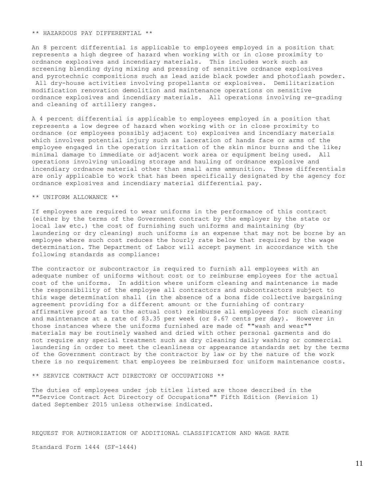#### \*\* HAZARDOUS PAY DIFFERENTIAL \*\*

An 8 percent differential is applicable to employees employed in a position that represents a high degree of hazard when working with or in close proximity to ordnance explosives and incendiary materials. This includes work such as screening blending dying mixing and pressing of sensitive ordnance explosives and pyrotechnic compositions such as lead azide black powder and photoflash powder. All dry-house activities involving propellants or explosives. Demilitarization modification renovation demolition and maintenance operations on sensitive ordnance explosives and incendiary materials. All operations involving re-grading and cleaning of artillery ranges.

A 4 percent differential is applicable to employees employed in a position that represents a low degree of hazard when working with or in close proximity to ordnance (or employees possibly adjacent to) explosives and incendiary materials which involves potential injury such as laceration of hands face or arms of the employee engaged in the operation irritation of the skin minor burns and the like; minimal damage to immediate or adjacent work area or equipment being used. All operations involving unloading storage and hauling of ordnance explosive and incendiary ordnance material other than small arms ammunition. These differentials are only applicable to work that has been specifically designated by the agency for ordnance explosives and incendiary material differential pay.

## \*\* UNIFORM ALLOWANCE \*\*

If employees are required to wear uniforms in the performance of this contract (either by the terms of the Government contract by the employer by the state or local law etc.) the cost of furnishing such uniforms and maintaining (by laundering or dry cleaning) such uniforms is an expense that may not be borne by an employee where such cost reduces the hourly rate below that required by the wage determination. The Department of Labor will accept payment in accordance with the following standards as compliance:

The contractor or subcontractor is required to furnish all employees with an adequate number of uniforms without cost or to reimburse employees for the actual cost of the uniforms. In addition where uniform cleaning and maintenance is made the responsibility of the employee all contractors and subcontractors subject to this wage determination shall (in the absence of a bona fide collective bargaining agreement providing for a different amount or the furnishing of contrary affirmative proof as to the actual cost) reimburse all employees for such cleaning and maintenance at a rate of \$3.35 per week (or \$.67 cents per day). However in those instances where the uniforms furnished are made of ""wash and wear"" materials may be routinely washed and dried with other personal garments and do not require any special treatment such as dry cleaning daily washing or commercial laundering in order to meet the cleanliness or appearance standards set by the terms of the Government contract by the contractor by law or by the nature of the work there is no requirement that employees be reimbursed for uniform maintenance costs.

\*\* SERVICE CONTRACT ACT DIRECTORY OF OCCUPATIONS \*\*

The duties of employees under job titles listed are those described in the ""Service Contract Act Directory of Occupations"" Fifth Edition (Revision 1) dated September 2015 unless otherwise indicated.

## REQUEST FOR AUTHORIZATION OF ADDITIONAL CLASSIFICATION AND WAGE RATE

Standard Form 1444 (SF-1444)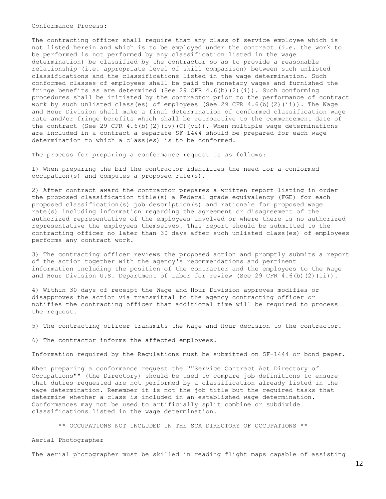Conformance Process:

The contracting officer shall require that any class of service employee which is not listed herein and which is to be employed under the contract (i.e. the work to be performed is not performed by any classification listed in the wage determination) be classified by the contractor so as to provide a reasonable relationship (i.e. appropriate level of skill comparison) between such unlisted classifications and the classifications listed in the wage determination. Such conformed classes of employees shall be paid the monetary wages and furnished the fringe benefits as are determined (See 29 CFR  $4.6$  (b)(2)(i)). Such conforming procedures shall be initiated by the contractor prior to the performance of contract work by such unlisted class(es) of employees (See 29 CFR 4.6(b)(2)(ii)). The Wage and Hour Division shall make a final determination of conformed classification wage rate and/or fringe benefits which shall be retroactive to the commencement date of the contract (See 29 CFR 4.6(b)(2)(iv)(C)(vi)). When multiple wage determinations are included in a contract a separate SF-1444 should be prepared for each wage determination to which a class(es) is to be conformed.

The process for preparing a conformance request is as follows:

1) When preparing the bid the contractor identifies the need for a conformed occupation(s) and computes a proposed rate(s).

2) After contract award the contractor prepares a written report listing in order the proposed classification title(s) a Federal grade equivalency (FGE) for each proposed classification(s) job description(s) and rationale for proposed wage rate(s) including information regarding the agreement or disagreement of the authorized representative of the employees involved or where there is no authorized representative the employees themselves. This report should be submitted to the contracting officer no later than 30 days after such unlisted class(es) of employees performs any contract work.

3) The contracting officer reviews the proposed action and promptly submits a report of the action together with the agency's recommendations and pertinent information including the position of the contractor and the employees to the Wage and Hour Division U.S. Department of Labor for review (See 29 CFR 4.6(b)(2)(ii)).

4) Within 30 days of receipt the Wage and Hour Division approves modifies or disapproves the action via transmittal to the agency contracting officer or notifies the contracting officer that additional time will be required to process the request.

5) The contracting officer transmits the Wage and Hour decision to the contractor.

6) The contractor informs the affected employees.

Information required by the Regulations must be submitted on SF-1444 or bond paper.

When preparing a conformance request the ""Service Contract Act Directory of Occupations"" (the Directory) should be used to compare job definitions to ensure that duties requested are not performed by a classification already listed in the wage determination. Remember it is not the job title but the required tasks that determine whether a class is included in an established wage determination. Conformances may not be used to artificially split combine or subdivide classifications listed in the wage determination.

\*\* OCCUPATIONS NOT INCLUDED IN THE SCA DIRECTORY OF OCCUPATIONS \*\*

Aerial Photographer

The aerial photographer must be skilled in reading flight maps capable of assisting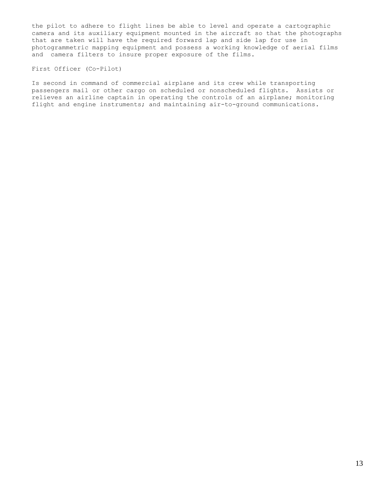the pilot to adhere to flight lines be able to level and operate a cartographic camera and its auxiliary equipment mounted in the aircraft so that the photographs that are taken will have the required forward lap and side lap for use in photogrammetric mapping equipment and possess a working knowledge of aerial films and camera filters to insure proper exposure of the films.

## First Officer (Co-Pilot)

Is second in command of commercial airplane and its crew while transporting passengers mail or other cargo on scheduled or nonscheduled flights. Assists or relieves an airline captain in operating the controls of an airplane; monitoring flight and engine instruments; and maintaining air-to-ground communications.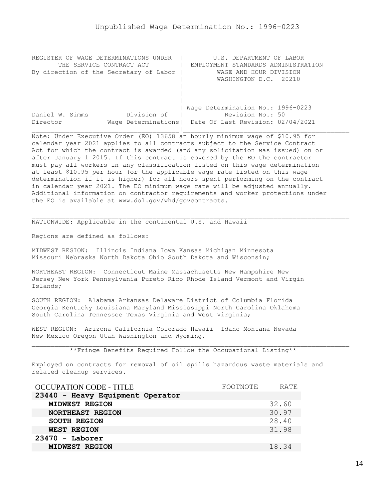<span id="page-13-0"></span>

| REGISTER OF WAGE DETERMINATIONS UNDER  | U.S. DEPARTMENT OF LABOR                                |
|----------------------------------------|---------------------------------------------------------|
| THE SERVICE CONTRACT ACT               | EMPLOYMENT STANDARDS ADMINISTRATION                     |
| By direction of the Secretary of Labor | WAGE AND HOUR DIVISION                                  |
|                                        | WASHINGTON D.C. 20210                                   |
|                                        |                                                         |
|                                        |                                                         |
|                                        |                                                         |
|                                        | Wage Determination No.: 1996-0223                       |
| Division of<br>Daniel W. Simms         | Revision No.: 50                                        |
| Director                               | Wage Determinations   Date Of Last Revision: 02/04/2021 |
|                                        |                                                         |

Note: Under Executive Order (EO) 13658 an hourly minimum wage of \$10.95 for calendar year 2021 applies to all contracts subject to the Service Contract Act for which the contract is awarded (and any solicitation was issued) on or after January 1 2015. If this contract is covered by the EO the contractor must pay all workers in any classification listed on this wage determination at least \$10.95 per hour (or the applicable wage rate listed on this wage determination if it is higher) for all hours spent performing on the contract in calendar year 2021. The EO minimum wage rate will be adjusted annually. Additional information on contractor requirements and worker protections under the EO is available at www.dol.gov/whd/govcontracts.

NATIONWIDE: Applicable in the continental U.S. and Hawaii

Regions are defined as follows:

MIDWEST REGION: Illinois Indiana Iowa Kansas Michigan Minnesota Missouri Nebraska North Dakota Ohio South Dakota and Wisconsin;

NORTHEAST REGION: Connecticut Maine Massachusetts New Hampshire New Jersey New York Pennsylvania Pureto Rico Rhode Island Vermont and Virgin Islands;

SOUTH REGION: Alabama Arkansas Delaware District of Columbia Florida Georgia Kentucky Louisiana Maryland Mississippi North Carolina Oklahoma South Carolina Tennessee Texas Virginia and West Virginia;

WEST REGION: Arizona California Colorado Hawaii Idaho Montana Nevada New Mexico Oregon Utah Washington and Wyoming.

\*\*Fringe Benefits Required Follow the Occupational Listing\*\*

Employed on contracts for removal of oil spills hazardous waste materials and related cleanup services.

| OCCUPATION CODE - TITLE          | FOOTNOTE | RATE  |
|----------------------------------|----------|-------|
| 23440 - Heavy Equipment Operator |          |       |
| MIDWEST REGION                   |          | 32.60 |
| NORTHEAST REGION                 |          | 30.97 |
| <b>SOUTH REGION</b>              |          | 28.40 |
| WEST REGION                      |          | 31.98 |
| $23470 -$ Laborer                |          |       |
| MIDWEST REGION                   |          | 18.34 |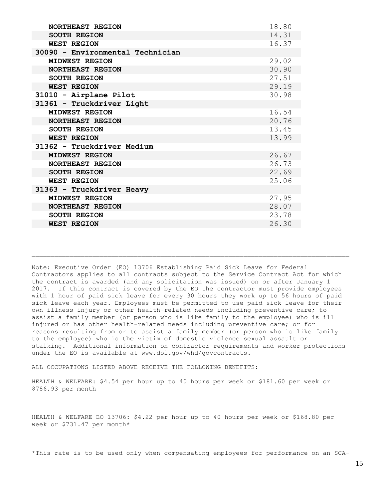| <b>NORTHEAST REGION</b>          | 18.80 |
|----------------------------------|-------|
| <b>SOUTH REGION</b>              | 14.31 |
| <b>WEST REGION</b>               | 16.37 |
| 30090 - Environmental Technician |       |
| MIDWEST REGION                   | 29.02 |
| NORTHEAST REGION                 | 30.90 |
| <b>SOUTH REGION</b>              | 27.51 |
| <b>WEST REGION</b>               | 29.19 |
| 31010 - Airplane Pilot           | 30.98 |
| 31361 - Truckdriver Light        |       |
| MIDWEST REGION                   | 16.54 |
| NORTHEAST REGION                 | 20.76 |
| <b>SOUTH REGION</b>              | 13.45 |
| <b>WEST REGION</b>               | 13.99 |
| 31362 - Truckdriver Medium       |       |
| MIDWEST REGION                   | 26.67 |
| <b>NORTHEAST REGION</b>          | 26.73 |
| <b>SOUTH REGION</b>              | 22.69 |
| <b>WEST REGION</b>               | 25.06 |
| 31363 - Truckdriver Heavy        |       |
| MIDWEST REGION                   | 27.95 |
| NORTHEAST REGION                 | 28.07 |
| <b>SOUTH REGION</b>              | 23.78 |
| <b>WEST REGION</b>               | 26.30 |

Note: Executive Order (EO) 13706 Establishing Paid Sick Leave for Federal Contractors applies to all contracts subject to the Service Contract Act for which the contract is awarded (and any solicitation was issued) on or after January 1 2017. If this contract is covered by the EO the contractor must provide employees with 1 hour of paid sick leave for every 30 hours they work up to 56 hours of paid sick leave each year. Employees must be permitted to use paid sick leave for their own illness injury or other health-related needs including preventive care; to assist a family member (or person who is like family to the employee) who is ill injured or has other health-related needs including preventive care; or for reasons resulting from or to assist a family member (or person who is like family to the employee) who is the victim of domestic violence sexual assault or stalking. Additional information on contractor requirements and worker protections under the EO is available at www.dol.gov/whd/govcontracts.

ALL OCCUPATIONS LISTED ABOVE RECEIVE THE FOLLOWING BENEFITS:

HEALTH & WELFARE: \$4.54 per hour up to 40 hours per week or \$181.60 per week or \$786.93 per month

HEALTH & WELFARE EO 13706: \$4.22 per hour up to 40 hours per week or \$168.80 per week or \$731.47 per month\*

\*This rate is to be used only when compensating employees for performance on an SCA-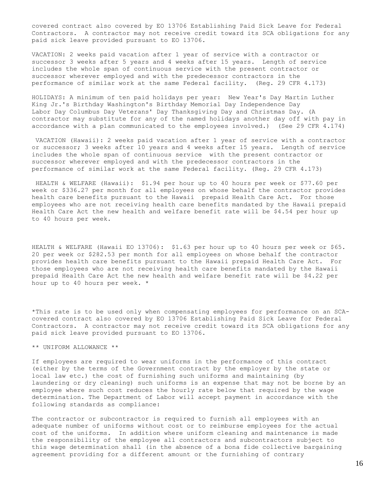covered contract also covered by EO 13706 Establishing Paid Sick Leave for Federal Contractors. A contractor may not receive credit toward its SCA obligations for any paid sick leave provided pursuant to EO 13706.

VACATION: 2 weeks paid vacation after 1 year of service with a contractor or successor 3 weeks after 5 years and 4 weeks after 15 years. Length of service includes the whole span of continuous service with the present contractor or successor wherever employed and with the predecessor contractors in the performance of similar work at the same Federal facility. (Reg. 29 CFR 4.173)

HOLIDAYS: A minimum of ten paid holidays per year: New Year's Day Martin Luther King Jr.'s Birthday Washington's Birthday Memorial Day Independence Day Labor Day Columbus Day Veterans' Day Thanksgiving Day and Christmas Day. (A contractor may substitute for any of the named holidays another day off with pay in accordance with a plan communicated to the employees involved.) (See 29 CFR 4.174)

VACATION (Hawaii): 2 weeks paid vacation after 1 year of service with a contractor or successor; 3 weeks after 10 years and 4 weeks after 15 years. Length of service includes the whole span of continuous service with the present contractor or successor wherever employed and with the predecessor contractors in the performance of similar work at the same Federal facility. (Reg. 29 CFR 4.173)

HEALTH & WELFARE (Hawaii): \$1.94 per hour up to 40 hours per week or \$77.60 per week or \$336.27 per month for all employees on whose behalf the contractor provides health care benefits pursuant to the Hawaii prepaid Health Care Act. For those employees who are not receiving health care benefits mandated by the Hawaii prepaid Health Care Act the new health and welfare benefit rate will be \$4.54 per hour up to 40 hours per week.

HEALTH & WELFARE (Hawaii EO 13706): \$1.63 per hour up to 40 hours per week or \$65. 20 per week or \$282.53 per month for all employees on whose behalf the contractor provides health care benefits pursuant to the Hawaii prepaid Health Care Act. For those employees who are not receiving health care benefits mandated by the Hawaii prepaid Health Care Act the new health and welfare benefit rate will be \$4.22 per hour up to 40 hours per week. \*

\*This rate is to be used only when compensating employees for performance on an SCAcovered contract also covered by EO 13706 Establishing Paid Sick Leave for Federal Contractors. A contractor may not receive credit toward its SCA obligations for any paid sick leave provided pursuant to EO 13706.

\*\* UNIFORM ALLOWANCE \*\*

If employees are required to wear uniforms in the performance of this contract (either by the terms of the Government contract by the employer by the state or local law etc.) the cost of furnishing such uniforms and maintaining (by laundering or dry cleaning) such uniforms is an expense that may not be borne by an employee where such cost reduces the hourly rate below that required by the wage determination. The Department of Labor will accept payment in accordance with the following standards as compliance:

The contractor or subcontractor is required to furnish all employees with an adequate number of uniforms without cost or to reimburse employees for the actual cost of the uniforms. In addition where uniform cleaning and maintenance is made the responsibility of the employee all contractors and subcontractors subject to this wage determination shall (in the absence of a bona fide collective bargaining agreement providing for a different amount or the furnishing of contrary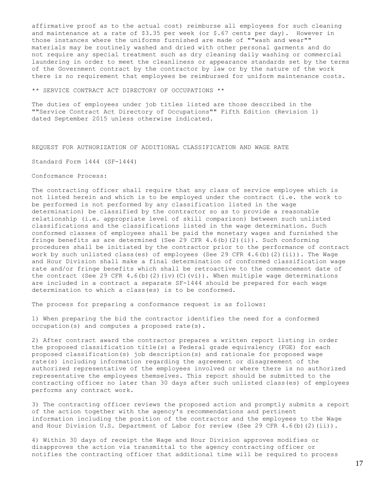affirmative proof as to the actual cost) reimburse all employees for such cleaning and maintenance at a rate of  $$3.35$  per week (or  $$.67$  cents per day). However in those instances where the uniforms furnished are made of ""wash and wear"" materials may be routinely washed and dried with other personal garments and do not require any special treatment such as dry cleaning daily washing or commercial laundering in order to meet the cleanliness or appearance standards set by the terms of the Government contract by the contractor by law or by the nature of the work there is no requirement that employees be reimbursed for uniform maintenance costs.

\*\* SERVICE CONTRACT ACT DIRECTORY OF OCCUPATIONS \*\*

The duties of employees under job titles listed are those described in the ""Service Contract Act Directory of Occupations"" Fifth Edition (Revision 1) dated September 2015 unless otherwise indicated.

REQUEST FOR AUTHORIZATION OF ADDITIONAL CLASSIFICATION AND WAGE RATE

Standard Form 1444 (SF-1444)

### Conformance Process:

The contracting officer shall require that any class of service employee which is not listed herein and which is to be employed under the contract (i.e. the work to be performed is not performed by any classification listed in the wage determination) be classified by the contractor so as to provide a reasonable relationship (i.e. appropriate level of skill comparison) between such unlisted classifications and the classifications listed in the wage determination. Such conformed classes of employees shall be paid the monetary wages and furnished the fringe benefits as are determined (See 29 CFR  $4.6$  (b)(2)(i)). Such conforming procedures shall be initiated by the contractor prior to the performance of contract work by such unlisted class(es) of employees (See 29 CFR  $4.6(b)$  (2)(ii)). The Wage and Hour Division shall make a final determination of conformed classification wage rate and/or fringe benefits which shall be retroactive to the commencement date of the contract (See 29 CFR 4.6(b)(2)(iv)(C)(vi)). When multiple wage determinations are included in a contract a separate SF-1444 should be prepared for each wage determination to which a class(es) is to be conformed.

The process for preparing a conformance request is as follows:

1) When preparing the bid the contractor identifies the need for a conformed occupation(s) and computes a proposed rate(s).

2) After contract award the contractor prepares a written report listing in order the proposed classification title(s) a Federal grade equivalency (FGE) for each proposed classification(s) job description(s) and rationale for proposed wage rate(s) including information regarding the agreement or disagreement of the authorized representative of the employees involved or where there is no authorized representative the employees themselves. This report should be submitted to the contracting officer no later than 30 days after such unlisted class(es) of employees performs any contract work.

3) The contracting officer reviews the proposed action and promptly submits a report of the action together with the agency's recommendations and pertinent information including the position of the contractor and the employees to the Wage and Hour Division U.S. Department of Labor for review (See 29 CFR 4.6(b)(2)(ii)).

4) Within 30 days of receipt the Wage and Hour Division approves modifies or disapproves the action via transmittal to the agency contracting officer or notifies the contracting officer that additional time will be required to process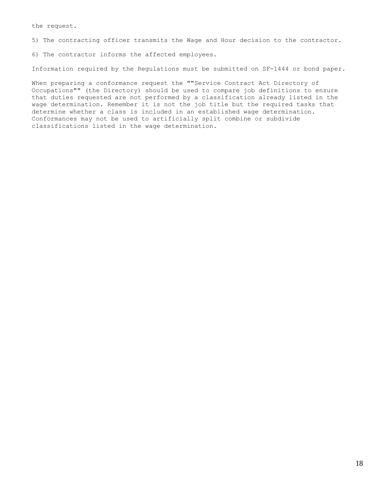the request.

5) The contracting officer transmits the Wage and Hour decision to the contractor.

6) The contractor informs the affected employees.

Information required by the Regulations must be submitted on SF-1444 or bond paper.

When preparing a conformance request the ""Service Contract Act Directory of Occupations"" (the Directory) should be used to compare job definitions to ensure that duties requested are not performed by a classification already listed in the wage determination. Remember it is not the job title but the required tasks that determine whether a class is included in an established wage determination. Conformances may not be used to artificially split combine or subdivide classifications listed in the wage determination.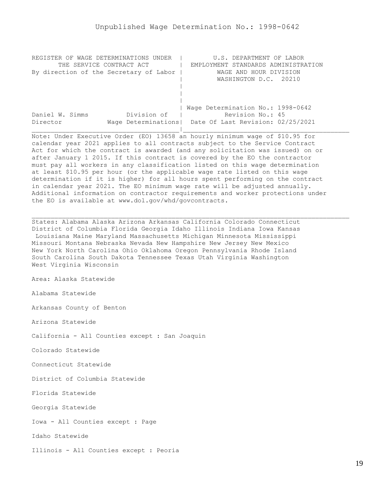<span id="page-18-0"></span>

| REGISTER OF WAGE DETERMINATIONS UNDER  |             | U.S. DEPARTMENT OF LABOR                                |  |
|----------------------------------------|-------------|---------------------------------------------------------|--|
| THE SERVICE CONTRACT ACT               |             | EMPLOYMENT STANDARDS ADMINISTRATION                     |  |
| By direction of the Secretary of Labor |             | WAGE AND HOUR DIVISION                                  |  |
|                                        |             | WASHINGTON D.C. 20210                                   |  |
|                                        |             |                                                         |  |
|                                        |             |                                                         |  |
|                                        |             |                                                         |  |
|                                        |             | Wage Determination No.: 1998-0642                       |  |
| Daniel W. Simms                        | Division of | Revision No.: 45                                        |  |
| Director                               |             | Wage Determinations   Date Of Last Revision: 02/25/2021 |  |
|                                        |             |                                                         |  |

Note: Under Executive Order (EO) 13658 an hourly minimum wage of \$10.95 for calendar year 2021 applies to all contracts subject to the Service Contract Act for which the contract is awarded (and any solicitation was issued) on or after January 1 2015. If this contract is covered by the EO the contractor must pay all workers in any classification listed on this wage determination at least \$10.95 per hour (or the applicable wage rate listed on this wage determination if it is higher) for all hours spent performing on the contract in calendar year 2021. The EO minimum wage rate will be adjusted annually. Additional information on contractor requirements and worker protections under the EO is available at www.dol.gov/whd/govcontracts.

States: Alabama Alaska Arizona Arkansas California Colorado Connecticut District of Columbia Florida Georgia Idaho Illinois Indiana Iowa Kansas Louisiana Maine Maryland Massachusetts Michigan Minnesota Mississippi Missouri Montana Nebraska Nevada New Hampshire New Jersey New Mexico New York North Carolina Ohio Oklahoma Oregon Pennsylvania Rhode Island South Carolina South Dakota Tennessee Texas Utah Virginia Washington West Virginia Wisconsin

Area: Alaska Statewide

Alabama Statewide

Arkansas County of Benton

Arizona Statewide

California - All Counties except : San Joaquin

Colorado Statewide

Connecticut Statewide

District of Columbia Statewide

Florida Statewide

Georgia Statewide

Iowa - All Counties except : Page

Idaho Statewide

Illinois - All Counties except : Peoria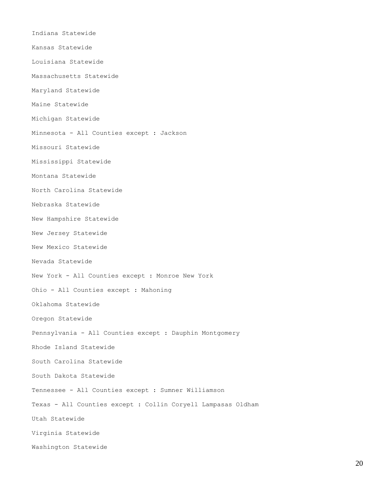Indiana Statewide Kansas Statewide Louisiana Statewide Massachusetts Statewide Maryland Statewide Maine Statewide Michigan Statewide Minnesota - All Counties except : Jackson Missouri Statewide Mississippi Statewide Montana Statewide North Carolina Statewide Nebraska Statewide New Hampshire Statewide New Jersey Statewide New Mexico Statewide Nevada Statewide New York - All Counties except : Monroe New York Ohio - All Counties except : Mahoning Oklahoma Statewide Oregon Statewide Pennsylvania - All Counties except : Dauphin Montgomery Rhode Island Statewide South Carolina Statewide South Dakota Statewide Tennessee - All Counties except : Sumner Williamson Texas - All Counties except : Collin Coryell Lampasas Oldham Utah Statewide Virginia Statewide Washington Statewide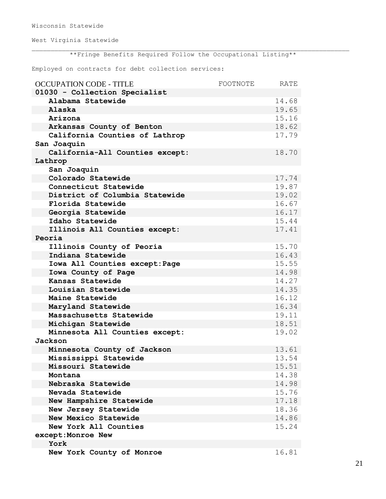Wisconsin Statewide

West Virginia Statewide

\*\*Fringe Benefits Required Follow the Occupational Listing\*\*

Employed on contracts for debt collection services:

| <b>OCCUPATION CODE - TITLE</b>  | FOOTNOTE | RATE  |
|---------------------------------|----------|-------|
| 01030 - Collection Specialist   |          |       |
| Alabama Statewide               |          | 14.68 |
| Alaska                          |          | 19.65 |
| Arizona                         |          | 15.16 |
| Arkansas County of Benton       |          | 18.62 |
| California Counties of Lathrop  |          | 17.79 |
| San Joaquin                     |          |       |
| California-All Counties except: |          | 18.70 |
| Lathrop                         |          |       |
| San Joaquin                     |          |       |
| Colorado Statewide              |          | 17.74 |
| Connecticut Statewide           |          | 19.87 |
| District of Columbia Statewide  |          | 19.02 |
| Florida Statewide               |          | 16.67 |
| Georgia Statewide               |          | 16.17 |
| Idaho Statewide                 |          | 15.44 |
| Illinois All Counties except:   |          | 17.41 |
| Peoria                          |          |       |
| Illinois County of Peoria       |          | 15.70 |
| Indiana Statewide               |          | 16.43 |
| Iowa All Counties except: Page  |          | 15.55 |
| Iowa County of Page             |          | 14.98 |
| Kansas Statewide                |          | 14.27 |
| Louisian Statewide              |          | 14.35 |
| Maine Statewide                 |          | 16.12 |
| Maryland Statewide              |          | 16.34 |
| Massachusetts Statewide         |          | 19.11 |
| Michigan Statewide              |          | 18.51 |
| Minnesota All Counties except:  |          | 19.02 |
| Jackson                         |          |       |
| Minnesota County of Jackson     |          | 13.61 |
| Mississippi Statewide           |          | 13.54 |
| Missouri Statewide              |          | 15.51 |
| Montana                         |          | 14.38 |
| Nebraska Statewide              |          | 14.98 |
| Nevada Statewide                |          | 15.76 |
| New Hampshire Statewide         |          | 17.18 |
| New Jersey Statewide            |          | 18.36 |
| New Mexico Statewide            |          | 14.86 |
| New York All Counties           |          | 15.24 |
| except: Monroe New              |          |       |
| York                            |          |       |
| New York County of Monroe       |          | 16.81 |

21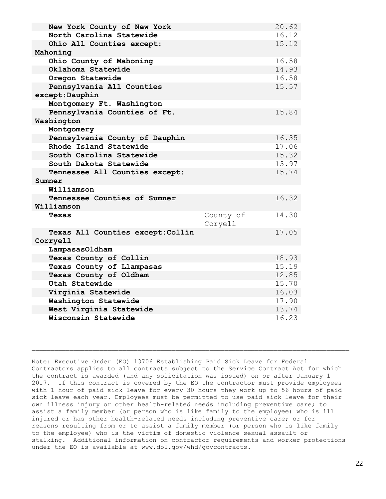| New York County of New York       |           | 20.62 |
|-----------------------------------|-----------|-------|
| North Carolina Statewide          |           | 16.12 |
| Ohio All Counties except:         |           | 15.12 |
|                                   |           |       |
| Mahoning                          |           | 16.58 |
| Ohio County of Mahoning           |           |       |
| Oklahoma Statewide                |           | 14.93 |
| Oregon Statewide                  |           | 16.58 |
| Pennsylvania All Counties         |           | 15.57 |
| except: Dauphin                   |           |       |
| Montgomery Ft. Washington         |           |       |
| Pennsylvania Counties of Ft.      |           | 15.84 |
| Washington                        |           |       |
| Montgomery                        |           |       |
| Pennsylvania County of Dauphin    |           | 16.35 |
| Rhode Island Statewide            |           | 17.06 |
| South Carolina Statewide          |           | 15.32 |
| South Dakota Statewide            |           | 13.97 |
| Tennessee All Counties except:    |           | 15.74 |
| Sumner                            |           |       |
| Williamson                        |           |       |
| Tennessee Counties of Sumner      |           | 16.32 |
| Williamson                        |           |       |
| Texas                             | County of | 14.30 |
|                                   | Coryell   |       |
| Texas All Counties except: Collin |           | 17.05 |
| Corryell                          |           |       |
| LampasasOldham                    |           |       |
| Texas County of Collin            |           | 18.93 |
| Texas County of Llampasas         |           | 15.19 |
| Texas County of Oldham            |           | 12.85 |
| Utah Statewide                    |           | 15.70 |
| Virginia Statewide                |           | 16.03 |
| Washington Statewide              |           | 17.90 |
| West Virginia Statewide           |           | 13.74 |
| Wisconsin Statewide               |           | 16.23 |

Note: Executive Order (EO) 13706 Establishing Paid Sick Leave for Federal Contractors applies to all contracts subject to the Service Contract Act for which the contract is awarded (and any solicitation was issued) on or after January 1 2017. If this contract is covered by the EO the contractor must provide employees with 1 hour of paid sick leave for every 30 hours they work up to 56 hours of paid sick leave each year. Employees must be permitted to use paid sick leave for their own illness injury or other health-related needs including preventive care; to assist a family member (or person who is like family to the employee) who is ill injured or has other health-related needs including preventive care; or for reasons resulting from or to assist a family member (or person who is like family to the employee) who is the victim of domestic violence sexual assault or stalking. Additional information on contractor requirements and worker protections under the EO is available at www.dol.gov/whd/govcontracts.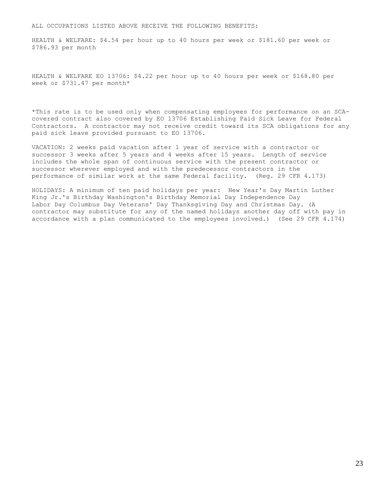### ALL OCCUPATIONS LISTED ABOVE RECEIVE THE FOLLOWING BENEFITS:

HEALTH & WELFARE: \$4.54 per hour up to 40 hours per week or \$181.60 per week or \$786.93 per month

HEALTH & WELFARE EO 13706: \$4.22 per hour up to 40 hours per week or \$168.80 per week or \$731.47 per month\*

\*This rate is to be used only when compensating employees for performance on an SCAcovered contract also covered by EO 13706 Establishing Paid Sick Leave for Federal Contractors. A contractor may not receive credit toward its SCA obligations for any paid sick leave provided pursuant to EO 13706.

VACATION: 2 weeks paid vacation after 1 year of service with a contractor or successor 3 weeks after 5 years and 4 weeks after 15 years. Length of service includes the whole span of continuous service with the present contractor or successor wherever employed and with the predecessor contractors in the performance of similar work at the same Federal facility. (Reg. 29 CFR 4.173)

HOLIDAYS: A minimum of ten paid holidays per year: New Year's Day Martin Luther King Jr.'s Birthday Washington's Birthday Memorial Day Independence Day Labor Day Columbus Day Veterans' Day Thanksgiving Day and Christmas Day. (A contractor may substitute for any of the named holidays another day off with pay in accordance with a plan communicated to the employees involved.) (See 29 CFR 4.174)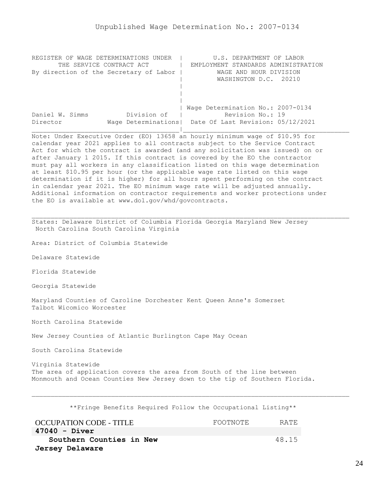<span id="page-23-0"></span>

| REGISTER OF WAGE DETERMINATIONS UNDER  | U.S. DEPARTMENT OF LABOR                                |
|----------------------------------------|---------------------------------------------------------|
| THE SERVICE CONTRACT ACT               | EMPLOYMENT STANDARDS ADMINISTRATION                     |
| By direction of the Secretary of Labor | WAGE AND HOUR DIVISION                                  |
|                                        | WASHINGTON D.C. 20210                                   |
|                                        |                                                         |
|                                        |                                                         |
|                                        |                                                         |
|                                        | Wage Determination No.: 2007-0134                       |
| Division of<br>Daniel W. Simms         | Revision No.: 19                                        |
| Director                               | Wage Determinations   Date Of Last Revision: 05/12/2021 |
|                                        |                                                         |

Note: Under Executive Order (EO) 13658 an hourly minimum wage of \$10.95 for calendar year 2021 applies to all contracts subject to the Service Contract Act for which the contract is awarded (and any solicitation was issued) on or after January 1 2015. If this contract is covered by the EO the contractor must pay all workers in any classification listed on this wage determination at least \$10.95 per hour (or the applicable wage rate listed on this wage determination if it is higher) for all hours spent performing on the contract in calendar year 2021. The EO minimum wage rate will be adjusted annually. Additional information on contractor requirements and worker protections under the EO is available at www.dol.gov/whd/govcontracts.

States: Delaware District of Columbia Florida Georgia Maryland New Jersey North Carolina South Carolina Virginia

Area: District of Columbia Statewide

Delaware Statewide

Florida Statewide

Georgia Statewide

Maryland Counties of Caroline Dorchester Kent Queen Anne's Somerset Talbot Wicomico Worcester

North Carolina Statewide

New Jersey Counties of Atlantic Burlington Cape May Ocean

South Carolina Statewide

Virginia Statewide The area of application covers the area from South of the line between Monmouth and Ocean Counties New Jersey down to the tip of Southern Florida.

\*\*Fringe Benefits Required Follow the Occupational Listing\*\*

| <b>OCCUPATION CODE - TITLE</b> | FOOTNOTE | RATE. |
|--------------------------------|----------|-------|
| 47040 - Diver                  |          |       |
| Southern Counties in New       |          | 48.15 |
| Jersey Delaware                |          |       |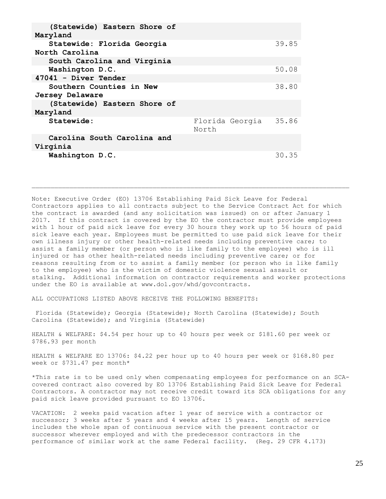| (Statewide) Eastern Shore of<br>Maryland     |       |                 |       |
|----------------------------------------------|-------|-----------------|-------|
| Statewide: Florida Georgia<br>North Carolina |       |                 | 39.85 |
| South Carolina and Virginia                  |       |                 |       |
| Washington D.C.                              |       |                 | 50.08 |
| $47041$ - Diver Tender                       |       |                 |       |
| <b>Southern Counties in New</b>              |       |                 | 38.80 |
| Jersey Delaware                              |       |                 |       |
| (Statewide) Eastern Shore of                 |       |                 |       |
| Maryland                                     |       |                 |       |
| Statewide:                                   | North | Florida Georgia | 35.86 |
| Carolina South Carolina and<br>Virginia      |       |                 |       |
| Washington D.C.                              |       |                 | 30.35 |
|                                              |       |                 |       |

Note: Executive Order (EO) 13706 Establishing Paid Sick Leave for Federal Contractors applies to all contracts subject to the Service Contract Act for which the contract is awarded (and any solicitation was issued) on or after January 1 2017. If this contract is covered by the EO the contractor must provide employees with 1 hour of paid sick leave for every 30 hours they work up to 56 hours of paid sick leave each year. Employees must be permitted to use paid sick leave for their own illness injury or other health-related needs including preventive care; to assist a family member (or person who is like family to the employee) who is ill injured or has other health-related needs including preventive care; or for reasons resulting from or to assist a family member (or person who is like family to the employee) who is the victim of domestic violence sexual assault or stalking. Additional information on contractor requirements and worker protections under the EO is available at www.dol.gov/whd/govcontracts.

ALL OCCUPATIONS LISTED ABOVE RECEIVE THE FOLLOWING BENEFITS:

Florida (Statewide); Georgia (Statewide); North Carolina (Statewide); South Carolina (Statewide); and Virginia (Statewide)

HEALTH & WELFARE: \$4.54 per hour up to 40 hours per week or \$181.60 per week or \$786.93 per month

HEALTH & WELFARE EO 13706: \$4.22 per hour up to 40 hours per week or \$168.80 per week or \$731.47 per month\*

\*This rate is to be used only when compensating employees for performance on an SCAcovered contract also covered by EO 13706 Establishing Paid Sick Leave for Federal Contractors. A contractor may not receive credit toward its SCA obligations for any paid sick leave provided pursuant to EO 13706.

VACATION: 2 weeks paid vacation after 1 year of service with a contractor or successor; 3 weeks after 5 years and 4 weeks after 15 years. Length of service includes the whole span of continuous service with the present contractor or successor wherever employed and with the predecessor contractors in the performance of similar work at the same Federal facility. (Reg. 29 CFR 4.173)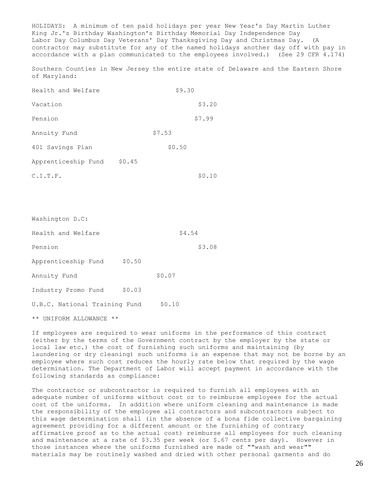HOLIDAYS: A minimum of ten paid holidays per year New Year's Day Martin Luther King Jr.'s Birthday Washington's Birthday Memorial Day Independence Day Labor Day Columbus Day Veterans' Day Thanksgiving Day and Christmas Day. (A contractor may substitute for any of the named holidays another day off with pay in accordance with a plan communicated to the employees involved.) (See 29 CFR 4.174)

Southern Counties in New Jersey the entire state of Delaware and the Eastern Shore of Maryland:

| Health and Welfare  |        | \$9.30 |        |
|---------------------|--------|--------|--------|
| Vacation            |        |        | \$3.20 |
| Pension             |        |        | \$7.99 |
| Annuity Fund        |        | \$7.53 |        |
| 401 Savings Plan    |        | \$0.50 |        |
| Apprenticeship Fund | \$0.45 |        |        |
| C.I.T.F.            |        |        | \$0.10 |

| Washington D.C:                      |        |        |        |
|--------------------------------------|--------|--------|--------|
| Health and Welfare                   |        | \$4.54 |        |
| Pension                              |        |        | \$3.08 |
| Apprenticeship Fund                  | \$0.50 |        |        |
| Annuity Fund                         |        | \$0.07 |        |
| Industry Promo Fund                  | \$0.03 |        |        |
| U.B.C. National Training Fund        |        | \$0.10 |        |
| ** UNIFORM ALLOWANCE<br>$\star\star$ |        |        |        |

If employees are required to wear uniforms in the performance of this contract (either by the terms of the Government contract by the employer by the state or local law etc.) the cost of furnishing such uniforms and maintaining (by laundering or dry cleaning) such uniforms is an expense that may not be borne by an employee where such cost reduces the hourly rate below that required by the wage determination. The Department of Labor will accept payment in accordance with the following standards as compliance:

The contractor or subcontractor is required to furnish all employees with an adequate number of uniforms without cost or to reimburse employees for the actual cost of the uniforms. In addition where uniform cleaning and maintenance is made the responsibility of the employee all contractors and subcontractors subject to this wage determination shall (in the absence of a bona fide collective bargaining agreement providing for a different amount or the furnishing of contrary affirmative proof as to the actual cost) reimburse all employees for such cleaning and maintenance at a rate of \$3.35 per week (or \$.67 cents per day). However in those instances where the uniforms furnished are made of ""wash and wear"" materials may be routinely washed and dried with other personal garments and do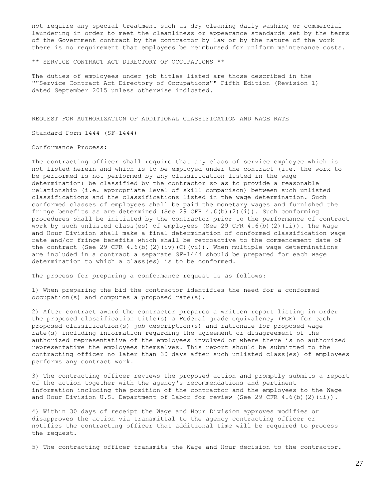not require any special treatment such as dry cleaning daily washing or commercial laundering in order to meet the cleanliness or appearance standards set by the terms of the Government contract by the contractor by law or by the nature of the work there is no requirement that employees be reimbursed for uniform maintenance costs.

\*\* SERVICE CONTRACT ACT DIRECTORY OF OCCUPATIONS \*\*

The duties of employees under job titles listed are those described in the ""Service Contract Act Directory of Occupations"" Fifth Edition (Revision 1) dated September 2015 unless otherwise indicated.

REQUEST FOR AUTHORIZATION OF ADDITIONAL CLASSIFICATION AND WAGE RATE

Standard Form 1444 (SF-1444)

Conformance Process:

The contracting officer shall require that any class of service employee which is not listed herein and which is to be employed under the contract (i.e. the work to be performed is not performed by any classification listed in the wage determination) be classified by the contractor so as to provide a reasonable relationship (i.e. appropriate level of skill comparison) between such unlisted classifications and the classifications listed in the wage determination. Such conformed classes of employees shall be paid the monetary wages and furnished the fringe benefits as are determined (See 29 CFR  $4.6$  (b)(2)(i)). Such conforming procedures shall be initiated by the contractor prior to the performance of contract work by such unlisted class(es) of employees (See 29 CFR  $4.6(b)$  (2)(ii)). The Wage and Hour Division shall make a final determination of conformed classification wage rate and/or fringe benefits which shall be retroactive to the commencement date of the contract (See 29 CFR 4.6(b)(2)(iv)(C)(vi)). When multiple wage determinations are included in a contract a separate SF-1444 should be prepared for each wage determination to which a class(es) is to be conformed.

The process for preparing a conformance request is as follows:

1) When preparing the bid the contractor identifies the need for a conformed occupation(s) and computes a proposed rate(s).

2) After contract award the contractor prepares a written report listing in order the proposed classification title(s) a Federal grade equivalency (FGE) for each proposed classification(s) job description(s) and rationale for proposed wage rate(s) including information regarding the agreement or disagreement of the authorized representative of the employees involved or where there is no authorized representative the employees themselves. This report should be submitted to the contracting officer no later than 30 days after such unlisted class(es) of employees performs any contract work.

3) The contracting officer reviews the proposed action and promptly submits a report of the action together with the agency's recommendations and pertinent information including the position of the contractor and the employees to the Wage and Hour Division U.S. Department of Labor for review (See 29 CFR 4.6(b)(2)(ii)).

4) Within 30 days of receipt the Wage and Hour Division approves modifies or disapproves the action via transmittal to the agency contracting officer or notifies the contracting officer that additional time will be required to process the request.

5) The contracting officer transmits the Wage and Hour decision to the contractor.